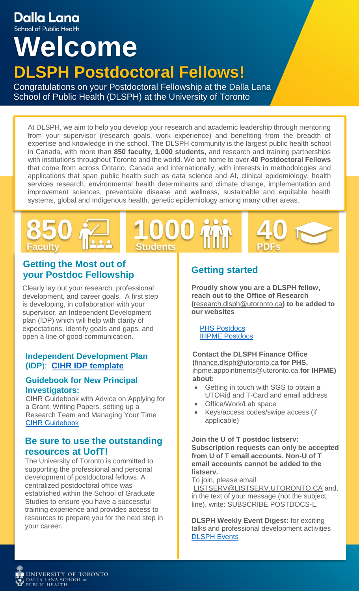# Dalla Lana

School of Public Health

# **Welcome DLSPH Postdoctoral Fellows!**

Congratulations on your Postdoctoral Fellowship at the Dalla Lana School of Public Health (DLSPH) at the University of Toronto

At DLSPH, we aim to help you develop your research and academic leadership through mentoring from your supervisor (research goals, work experience) and benefiting from the breadth of expertise and knowledge in the school. The DLSPH community is the largest public health school in Canada, with more than **850 faculty**, **1,000 students**, and research and training partnerships with institutions throughout Toronto and the world. We are home to over **40 Postdoctoral Fellows** that come from across Ontario, Canada and internationally, with interests in methodologies and applications that span public health such as data science and AI, clinical epidemiology, health services research, environmental health determinants and climate change, implementation and improvement sciences, preventable disease and wellness, sustainable and equitable health systems, global and Indigenous health, genetic epidemiology among many other areas.

# **Faculty Students PDFs 850 20 1000 mm 40**

#### **Getting the Most out of your Postdoc Fellowship**

Clearly lay out your research, professional development, and career goals. A first step is developing, in collaboration with your supervisor, an Independent Development plan (IDP) which will help with clarity of expectations, identify goals and gaps, and open a line of good communication.

#### **Independent Development Plan (IDP**): **[CIHR IDP template](https://cihr-irsc.gc.ca/e/50516.html)**

#### **Guidebook for New Principal Investigators:**

CIHR Guidebook with Advice on Applying for a Grant, Writing Papers, setting up a Research Team and Managing Your Time [CIHR Guidebook](https://cihr-irsc.gc.ca/e/27491.html)

#### **Be sure to use the outstanding resources at UofT!**

The University of Toronto is committed to supporting the professional and personal development of postdoctoral fellows. A centralized postdoctoral office was established within the School of Graduate Studies to ensure you have a successful training experience and provides access to resources to prepare you for the next step in your career.

## **Getting started**

**Proudly show you are a DLSPH fellow, reach out to the Office of Research (**[research.dlsph@utoronto.ca](mailto:research.dlsph@utoronto.ca)**) to be added to our websites**

[PHS Postdocs](https://www.dlsph.utoronto.ca/research/postdoctoral-fellows/) [IHPME Postdocs](https://ihpme.utoronto.ca/community/post-doctoral-fellows/)

**Contact the DLSPH Finance Office (**[finance.dlsph@utoronto.ca](mailto:finance.dlsph@utoronto.ca) **for PHS,**  [ihpme.appointments@utoronto.ca](mailto:ihpme.appointments@utoronto.ca) **for IHPME) about:** 

- Getting in touch with SGS to obtain a UTORid and T-Card and email address
- Office/Work/Lab space
- Keys/access codes/swipe access (if applicable)

**Join the U of T postdoc listserv: Subscription requests can only be accepted from U of T email accounts. Non-U of T email accounts cannot be added to the listserv.** 

To join, please email

LISTSERV@LISTSERV.UTORONTO.CA and, in the text of your message (not the subject line), write: SUBSCRIBE POSTDOCS-L.

**DLSPH Weekly Event Digest:** for exciting talks and professional development activities [DLSPH Events](https://www.dlsph.utoronto.ca/events/)